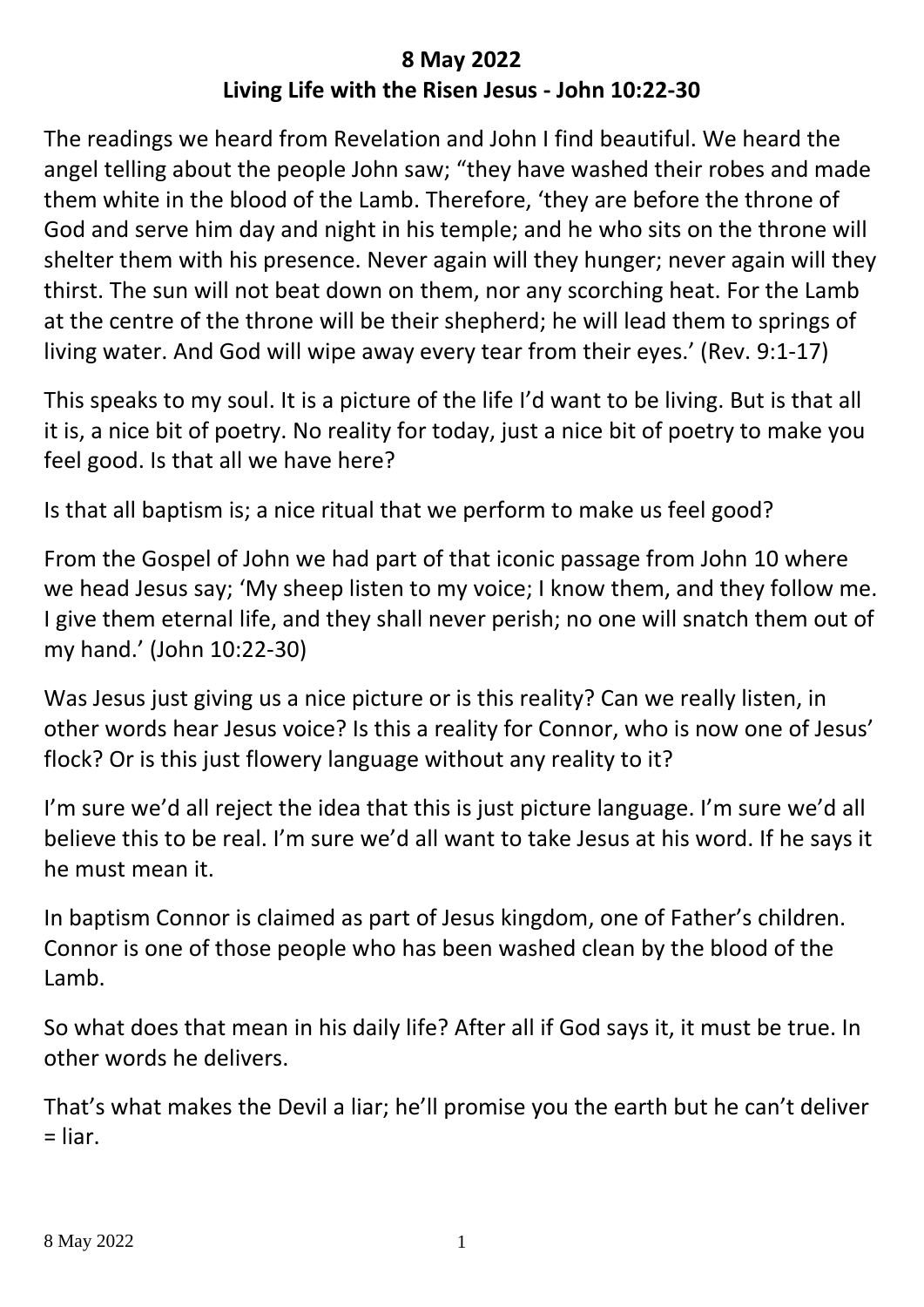## **8 May 2022 Living Life with the Risen Jesus - John 10:22-30**

The readings we heard from Revelation and John I find beautiful. We heard the angel telling about the people John saw; "they have washed their robes and made them white in the blood of the Lamb. Therefore, 'they are before the throne of God and serve him day and night in his temple; and he who sits on the throne will shelter them with his presence. Never again will they hunger; never again will they thirst. The sun will not beat down on them, nor any scorching heat. For the Lamb at the centre of the throne will be their shepherd; he will lead them to springs of living water. And God will wipe away every tear from their eyes.' (Rev. 9:1-17)

This speaks to my soul. It is a picture of the life I'd want to be living. But is that all it is, a nice bit of poetry. No reality for today, just a nice bit of poetry to make you feel good. Is that all we have here?

Is that all baptism is; a nice ritual that we perform to make us feel good?

From the Gospel of John we had part of that iconic passage from John 10 where we head Jesus say; 'My sheep listen to my voice; I know them, and they follow me. I give them eternal life, and they shall never perish; no one will snatch them out of my hand.' (John 10:22-30)

Was Jesus just giving us a nice picture or is this reality? Can we really listen, in other words hear Jesus voice? Is this a reality for Connor, who is now one of Jesus' flock? Or is this just flowery language without any reality to it?

I'm sure we'd all reject the idea that this is just picture language. I'm sure we'd all believe this to be real. I'm sure we'd all want to take Jesus at his word. If he says it he must mean it.

In baptism Connor is claimed as part of Jesus kingdom, one of Father's children. Connor is one of those people who has been washed clean by the blood of the Lamb.

So what does that mean in his daily life? After all if God says it, it must be true. In other words he delivers.

That's what makes the Devil a liar; he'll promise you the earth but he can't deliver  $=$  liar.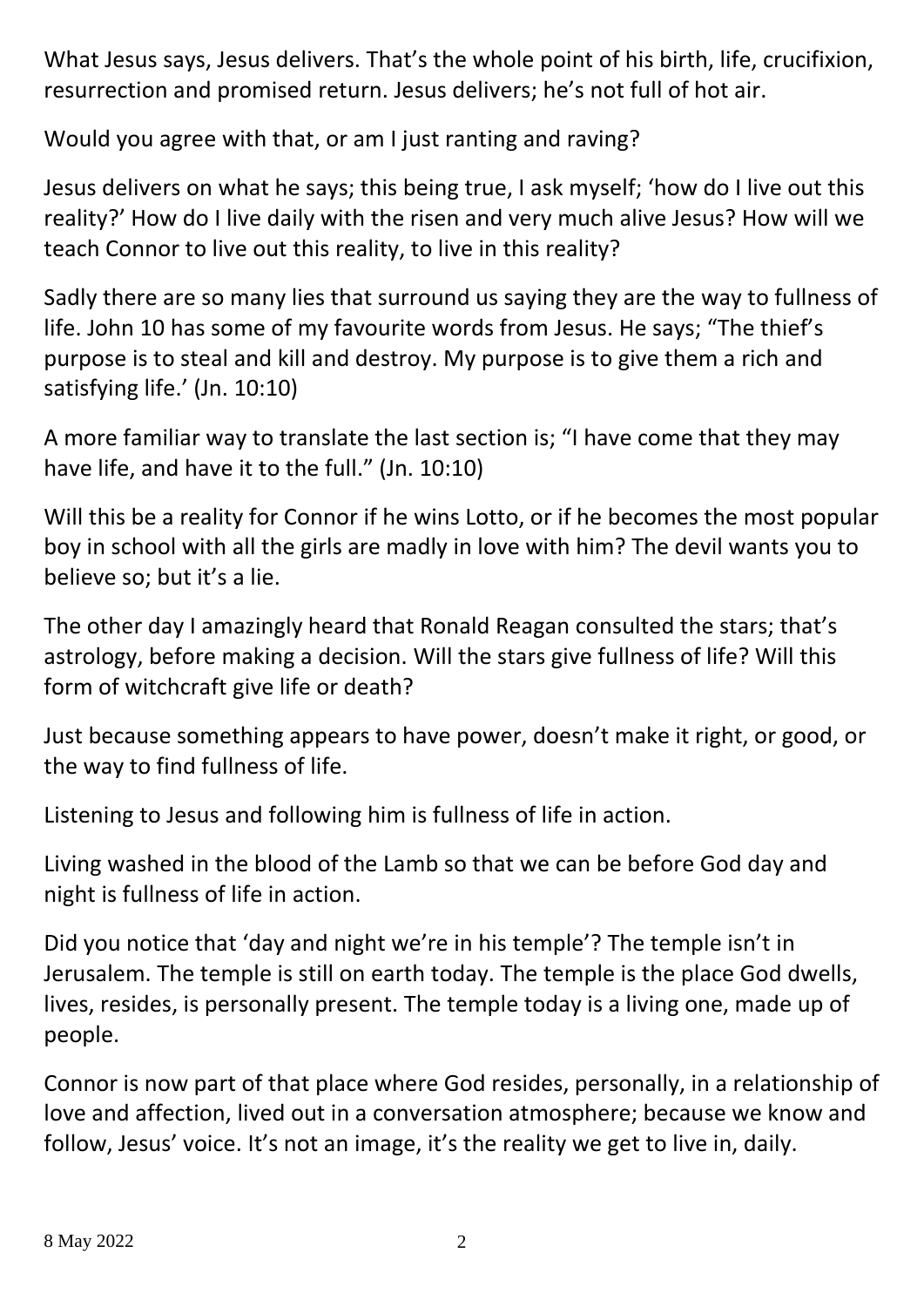What Jesus says, Jesus delivers. That's the whole point of his birth, life, crucifixion, resurrection and promised return. Jesus delivers; he's not full of hot air.

Would you agree with that, or am I just ranting and raving?

Jesus delivers on what he says; this being true, I ask myself; 'how do I live out this reality?' How do I live daily with the risen and very much alive Jesus? How will we teach Connor to live out this reality, to live in this reality?

Sadly there are so many lies that surround us saying they are the way to fullness of life. John 10 has some of my favourite words from Jesus. He says; "The thief's purpose is to steal and kill and destroy. My purpose is to give them a rich and satisfying life.' (Jn. 10:10)

A more familiar way to translate the last section is; "I have come that they may have life, and have it to the full." (Jn. 10:10)

Will this be a reality for Connor if he wins Lotto, or if he becomes the most popular boy in school with all the girls are madly in love with him? The devil wants you to believe so; but it's a lie.

The other day I amazingly heard that Ronald Reagan consulted the stars; that's astrology, before making a decision. Will the stars give fullness of life? Will this form of witchcraft give life or death?

Just because something appears to have power, doesn't make it right, or good, or the way to find fullness of life.

Listening to Jesus and following him is fullness of life in action.

Living washed in the blood of the Lamb so that we can be before God day and night is fullness of life in action.

Did you notice that 'day and night we're in his temple'? The temple isn't in Jerusalem. The temple is still on earth today. The temple is the place God dwells, lives, resides, is personally present. The temple today is a living one, made up of people.

Connor is now part of that place where God resides, personally, in a relationship of love and affection, lived out in a conversation atmosphere; because we know and follow, Jesus' voice. It's not an image, it's the reality we get to live in, daily.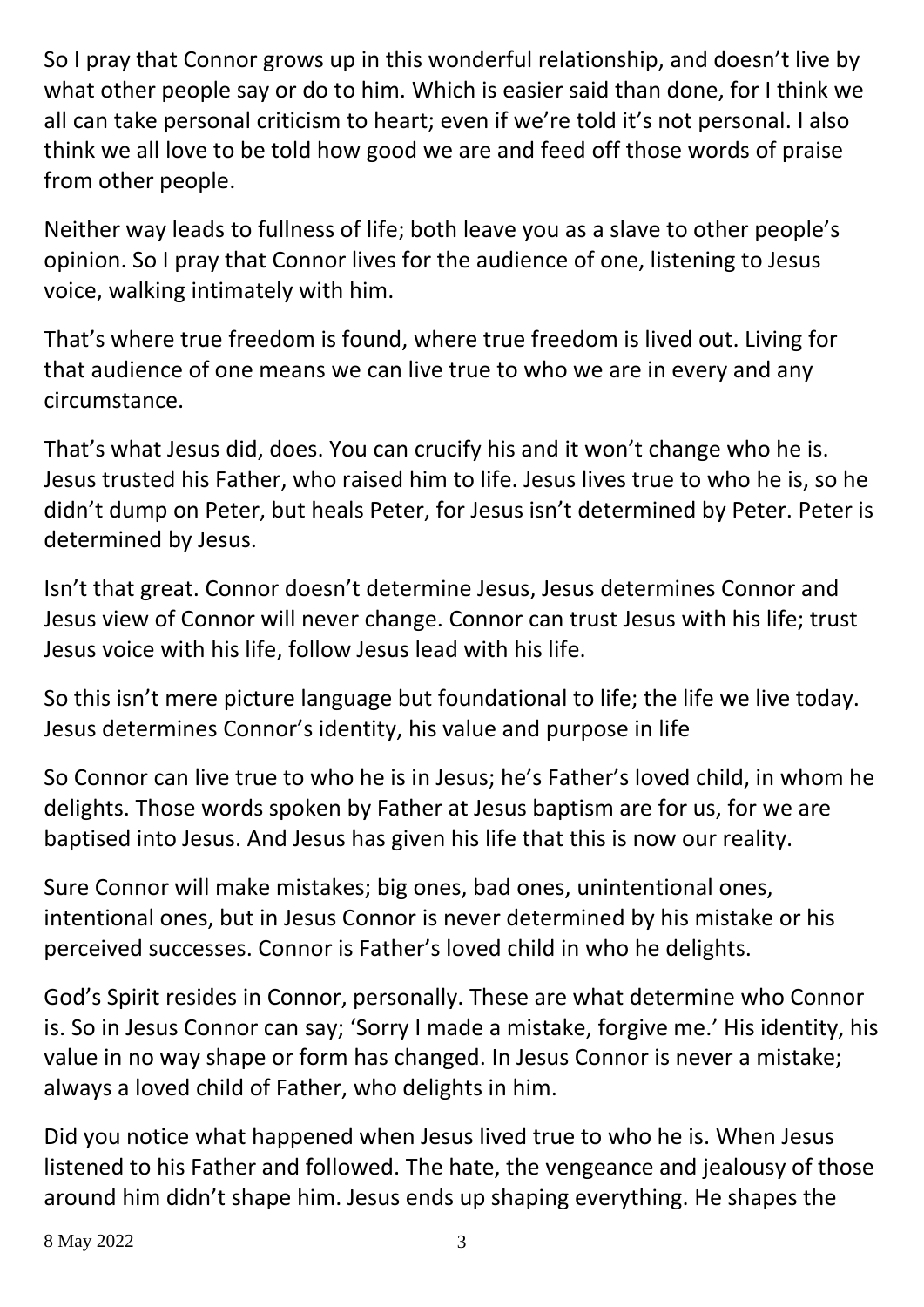So I pray that Connor grows up in this wonderful relationship, and doesn't live by what other people say or do to him. Which is easier said than done, for I think we all can take personal criticism to heart; even if we're told it's not personal. I also think we all love to be told how good we are and feed off those words of praise from other people.

Neither way leads to fullness of life; both leave you as a slave to other people's opinion. So I pray that Connor lives for the audience of one, listening to Jesus voice, walking intimately with him.

That's where true freedom is found, where true freedom is lived out. Living for that audience of one means we can live true to who we are in every and any circumstance.

That's what Jesus did, does. You can crucify his and it won't change who he is. Jesus trusted his Father, who raised him to life. Jesus lives true to who he is, so he didn't dump on Peter, but heals Peter, for Jesus isn't determined by Peter. Peter is determined by Jesus.

Isn't that great. Connor doesn't determine Jesus, Jesus determines Connor and Jesus view of Connor will never change. Connor can trust Jesus with his life; trust Jesus voice with his life, follow Jesus lead with his life.

So this isn't mere picture language but foundational to life; the life we live today. Jesus determines Connor's identity, his value and purpose in life

So Connor can live true to who he is in Jesus; he's Father's loved child, in whom he delights. Those words spoken by Father at Jesus baptism are for us, for we are baptised into Jesus. And Jesus has given his life that this is now our reality.

Sure Connor will make mistakes; big ones, bad ones, unintentional ones, intentional ones, but in Jesus Connor is never determined by his mistake or his perceived successes. Connor is Father's loved child in who he delights.

God's Spirit resides in Connor, personally. These are what determine who Connor is. So in Jesus Connor can say; 'Sorry I made a mistake, forgive me.' His identity, his value in no way shape or form has changed. In Jesus Connor is never a mistake; always a loved child of Father, who delights in him.

Did you notice what happened when Jesus lived true to who he is. When Jesus listened to his Father and followed. The hate, the vengeance and jealousy of those around him didn't shape him. Jesus ends up shaping everything. He shapes the